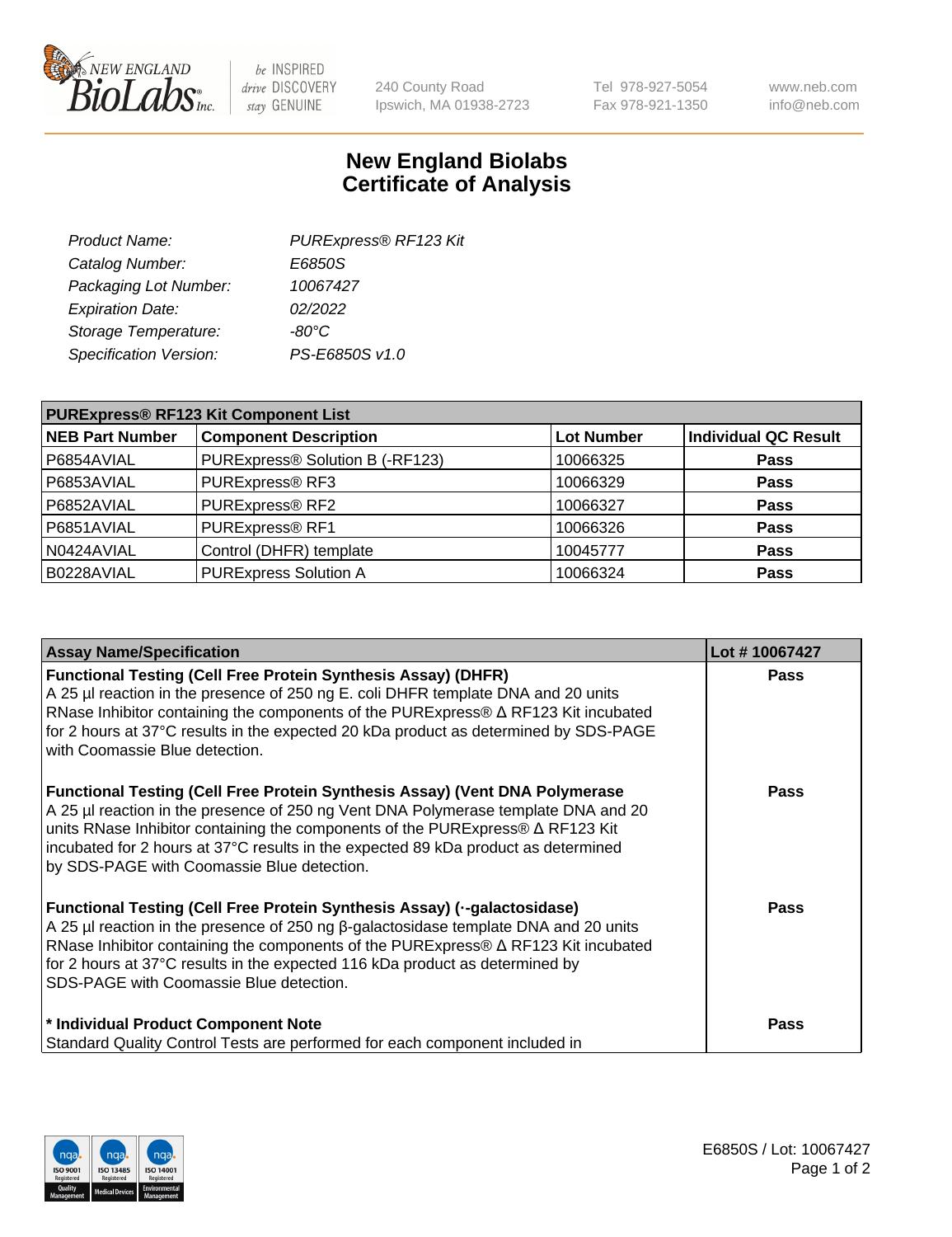

 $be$  INSPIRED drive DISCOVERY stay GENUINE

240 County Road Ipswich, MA 01938-2723 Tel 978-927-5054 Fax 978-921-1350 www.neb.com info@neb.com

## **New England Biolabs Certificate of Analysis**

| Product Name:           | PURExpress® RF123 Kit |
|-------------------------|-----------------------|
| Catalog Number:         | E6850S                |
| Packaging Lot Number:   | 10067427              |
| <b>Expiration Date:</b> | 02/2022               |
| Storage Temperature:    | $-80^{\circ}$ C       |
| Specification Version:  | PS-E6850S v1.0        |
|                         |                       |

| <b>PURExpress® RF123 Kit Component List</b> |                                 |                   |                             |  |
|---------------------------------------------|---------------------------------|-------------------|-----------------------------|--|
| <b>NEB Part Number</b>                      | <b>Component Description</b>    | <b>Lot Number</b> | <b>Individual QC Result</b> |  |
| P6854AVIAL                                  | PURExpress® Solution B (-RF123) | 10066325          | <b>Pass</b>                 |  |
| P6853AVIAL                                  | PURExpress® RF3                 | 10066329          | <b>Pass</b>                 |  |
| P6852AVIAL                                  | PURExpress® RF2                 | 10066327          | <b>Pass</b>                 |  |
| P6851AVIAL                                  | PURExpress® RF1                 | 10066326          | <b>Pass</b>                 |  |
| N0424AVIAL                                  | Control (DHFR) template         | 10045777          | <b>Pass</b>                 |  |
| B0228AVIAL                                  | <b>PURExpress Solution A</b>    | 10066324          | <b>Pass</b>                 |  |

| <b>Assay Name/Specification</b>                                                                                                                                                                                                                                                                                                                                                                 | Lot #10067427 |
|-------------------------------------------------------------------------------------------------------------------------------------------------------------------------------------------------------------------------------------------------------------------------------------------------------------------------------------------------------------------------------------------------|---------------|
| <b>Functional Testing (Cell Free Protein Synthesis Assay) (DHFR)</b><br>A 25 µl reaction in the presence of 250 ng E. coli DHFR template DNA and 20 units<br>RNase Inhibitor containing the components of the PURExpress® ∆ RF123 Kit incubated<br>for 2 hours at 37°C results in the expected 20 kDa product as determined by SDS-PAGE<br>with Coomassie Blue detection.                       | <b>Pass</b>   |
| Functional Testing (Cell Free Protein Synthesis Assay) (Vent DNA Polymerase<br>A 25 µl reaction in the presence of 250 ng Vent DNA Polymerase template DNA and 20<br>units RNase Inhibitor containing the components of the PURExpress® ∆ RF123 Kit<br>incubated for 2 hours at 37°C results in the expected 89 kDa product as determined<br>by SDS-PAGE with Coomassie Blue detection.         | Pass          |
| Functional Testing (Cell Free Protein Synthesis Assay) (--galactosidase)<br>A 25 µl reaction in the presence of 250 ng $\beta$ -galactosidase template DNA and 20 units<br>RNase Inhibitor containing the components of the PURExpress® $\Delta$ RF123 Kit incubated<br>for 2 hours at 37°C results in the expected 116 kDa product as determined by<br>SDS-PAGE with Coomassie Blue detection. | Pass          |
| * Individual Product Component Note<br>Standard Quality Control Tests are performed for each component included in                                                                                                                                                                                                                                                                              | Pass          |